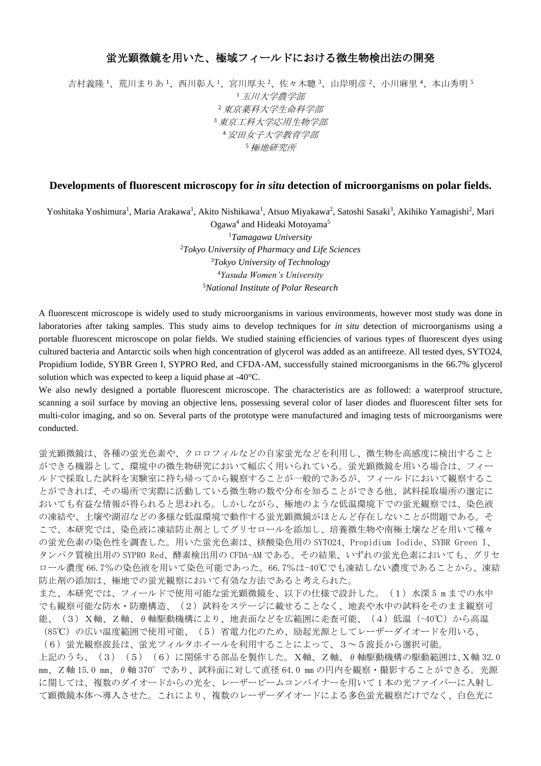## 蛍光顕微鏡を用いた、極域フィールドにおける微生物検出法の開発

吉村義隆 1、荒川まりあ 1、西川彰人 1、宮川厚夫 2、佐々木聰 3、山岸明彦 2、小川麻里 4、本山秀明 5 <sup>1</sup>玉川大学農学部 <sup>2</sup>東京薬科大学生命科学部 <sup>3</sup>東京工科大学応用生物学部 <sup>4</sup>安田女子大学教育学部 <sup>5</sup>極地研究所

## **Developments of fluorescent microscopy for** *in situ* **detection of microorganisms on polar fields.**

Yoshitaka Yoshimura<sup>1</sup>, Maria Arakawa<sup>1</sup>, Akito Nishikawa<sup>1</sup>, Atsuo Miyakawa<sup>2</sup>, Satoshi Sasaki<sup>3</sup>, Akihiko Yamagishi<sup>2</sup>, Mari

Ogawa<sup>4</sup> and Hideaki Motoyama<sup>5</sup> *Tamagawa University Tokyo University of Pharmacy and Life Sciences Tokyo University of Technology Yasuda Women's University National Institute of Polar Research*

A fluorescent microscope is widely used to study microorganisms in various environments, however most study was done in laboratories after taking samples. This study aims to develop techniques for *in situ* detection of microorganisms using a portable fluorescent microscope on polar fields. We studied staining efficiencies of various types of fluorescent dyes using cultured bacteria and Antarctic soils when high concentration of glycerol was added as an antifreeze. All tested dyes, SYTO24, Propidium Iodide, SYBR Green I, SYPRO Red, and CFDA-AM, successfully stained microorganisms in the 66.7% glycerol solution which was expected to keep a liquid phase at -40°C.

We also newly designed a portable fluorescent microscope. The characteristics are as followed: a waterproof structure, scanning a soil surface by moving an objective lens, possessing several color of laser diodes and fluorescent filter sets for multi-color imaging, and so on. Several parts of the prototype were manufactured and imaging tests of microorganisms were conducted.

蛍光顕微鏡は、各種の蛍光色素や、クロロフィルなどの自家蛍光などを利用し、微生物を高感度に検出すること ができる機器として、環境中の微生物研究において幅広く用いられている。蛍光顕微鏡を用いる場合は、フィー ルドで採取した試料を実験室に持ち帰ってから観察することが一般的であるが、フィールドにおいて観察するこ とができれば、その場所で実際に活動している微生物の数や分布を知ることができる他、試料採取場所の選定に おいても有益な情報が得られると思われる。しかしながら、極地のような低温環境下での蛍光観察では、染色液 の凍結や、土壌や湖沼などの多様な低温環境で動作する蛍光顕微鏡がほとんど存在しないことが問題である。そ こで、本研究では、染色液に凍結防止剤としてグリセロールを添加し、培養微生物や南極土壌などを用いて種々 の蛍光色素の染色性を調査した。用いた蛍光色素は、核酸染色用の SYTO24、Propidium Iodide、SYBR Green I、 タンパク質検出用の SYPRO Red、酵素検出用の CFDA-AM である。その結果、いずれの蛍光色素においても、グリセ ロール濃度 66.7%の染色液を用いて染色可能であった。66.7%は-40℃でも凍結しない濃度であることから、凍結 防止剤の添加は、極地での蛍光観察において有効な方法であると考えられた。

また、本研究では、フィールドで使用可能な蛍光顕微鏡を、以下の仕様で設計した。(1)水深 5 m までの水中 でも観察可能な防水・防塵構造、(2)試料をステージに載せることなく、地表や水中の試料をそのまま観察可 能、(3)X軸、Z軸、θ軸駆動機構により、地表面などを広範囲に走査可能、(4)低温(-40℃)から高温 (85℃)の広い温度範囲で使用可能、(5)省電力化のため、励起光源としてレーザーダイオードを用いる、

(6) 蛍光観察波長は、蛍光フィルタホイールを利用することによって、3~5波長から選択可能。 上記のうち、(3)(5)(6)に関係する部品を製作した。X軸、Z軸、θ軸駆動機構の駆動範囲は、X軸 32.0 mm、Z軸 15.0 mm、θ軸 370°であり、試料面に対して直径 64.0 mm の円内を観察・撮影することができる。光源 に関しては、複数のダイオードからの光を、レーザービームコンバイナーを用いて 1 本の光ファイバーに入射し て顕微鏡本体へ導入させた。これにより、複数のレーザーダイオードによる多色蛍光観察だけでなく、白色光に